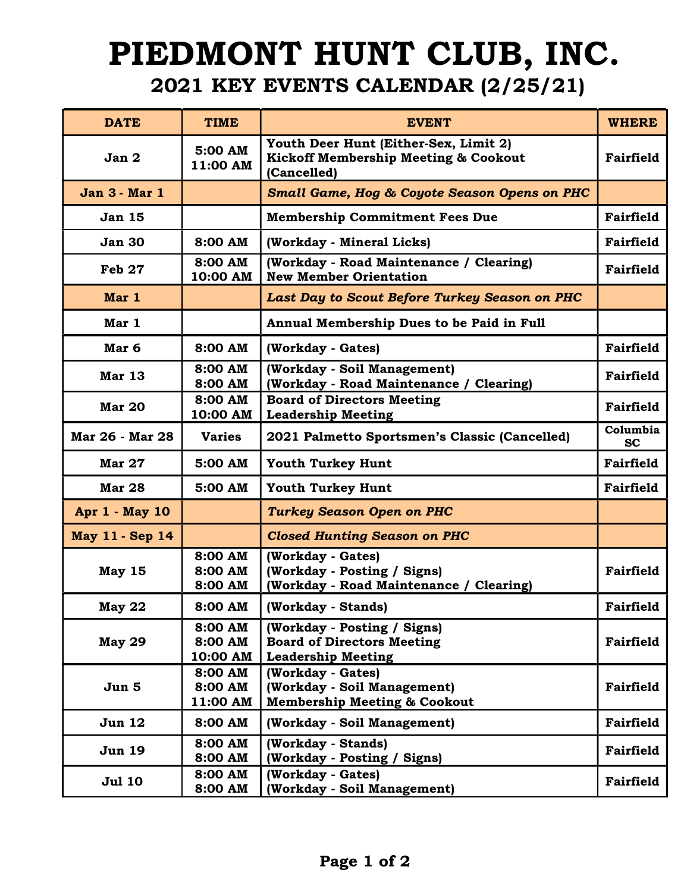## PIEDMONT HUNT CLUB, INC. 2021 KEY EVENTS CALENDAR (2/25/21)

| <b>DATE</b>            | <b>TIME</b>                    | <b>EVENT</b>                                                                                            | <b>WHERE</b>          |
|------------------------|--------------------------------|---------------------------------------------------------------------------------------------------------|-----------------------|
| Jan 2                  | 5:00 AM<br>11:00 AM            | Youth Deer Hunt (Either-Sex, Limit 2)<br><b>Kickoff Membership Meeting &amp; Cookout</b><br>(Cancelled) | <b>Fairfield</b>      |
| Jan 3 - Mar 1          |                                | <b>Small Game, Hog &amp; Coyote Season Opens on PHC</b>                                                 |                       |
| <b>Jan 15</b>          |                                | <b>Membership Commitment Fees Due</b>                                                                   | Fairfield             |
| <b>Jan 30</b>          | 8:00 AM                        | (Workday - Mineral Licks)                                                                               | Fairfield             |
| <b>Feb 27</b>          | 8:00 AM<br>10:00 AM            | (Workday - Road Maintenance / Clearing)<br><b>New Member Orientation</b>                                | <b>Fairfield</b>      |
| Mar 1                  |                                | Last Day to Scout Before Turkey Season on PHC                                                           |                       |
| Mar 1                  |                                | Annual Membership Dues to be Paid in Full                                                               |                       |
| Mar 6                  | 8:00 AM                        | (Workday - Gates)                                                                                       | Fairfield             |
| <b>Mar 13</b>          | 8:00 AM<br>8:00 AM             | (Workday - Soil Management)<br>(Workday - Road Maintenance / Clearing)                                  | <b>Fairfield</b>      |
| <b>Mar 20</b>          | 8:00 AM<br>10:00 AM            | <b>Board of Directors Meeting</b><br><b>Leadership Meeting</b>                                          | Fairfield             |
| Mar 26 - Mar 28        | <b>Varies</b>                  | 2021 Palmetto Sportsmen's Classic (Cancelled)                                                           | Columbia<br><b>SC</b> |
| <b>Mar 27</b>          | 5:00 AM                        | <b>Youth Turkey Hunt</b>                                                                                | <b>Fairfield</b>      |
| <b>Mar 28</b>          | 5:00 AM                        | <b>Youth Turkey Hunt</b>                                                                                | Fairfield             |
| Apr 1 - May 10         |                                | <b>Turkey Season Open on PHC</b>                                                                        |                       |
| <b>May 11 - Sep 14</b> |                                | <b>Closed Hunting Season on PHC</b>                                                                     |                       |
| <b>May 15</b>          | 8:00 AM<br>8:00 AM<br>8:00 AM  | (Workday - Gates)<br>(Workday - Posting / Signs)<br>(Workday - Road Maintenance / Clearing)             | <b>Fairfield</b>      |
| <b>May 22</b>          | 8:00 AM                        | (Workday - Stands)                                                                                      | <b>Fairfield</b>      |
| <b>May 29</b>          | 8:00 AM<br>8:00 AM<br>10:00 AM | (Workday - Posting / Signs)<br><b>Board of Directors Meeting</b><br><b>Leadership Meeting</b>           | <b>Fairfield</b>      |
| Jun 5                  | 8:00 AM<br>8:00 AM<br>11:00 AM | (Workday - Gates)<br>(Workday - Soil Management)<br><b>Membership Meeting &amp; Cookout</b>             | <b>Fairfield</b>      |
| <b>Jun 12</b>          | 8:00 AM                        | (Workday - Soil Management)                                                                             | <b>Fairfield</b>      |
| <b>Jun 19</b>          | 8:00 AM<br>8:00 AM             | (Workday - Stands)<br>(Workday - Posting / Signs)                                                       | <b>Fairfield</b>      |
| <b>Jul 10</b>          | 8:00 AM<br>8:00 AM             | (Workday - Gates)<br>(Workday - Soil Management)                                                        | <b>Fairfield</b>      |